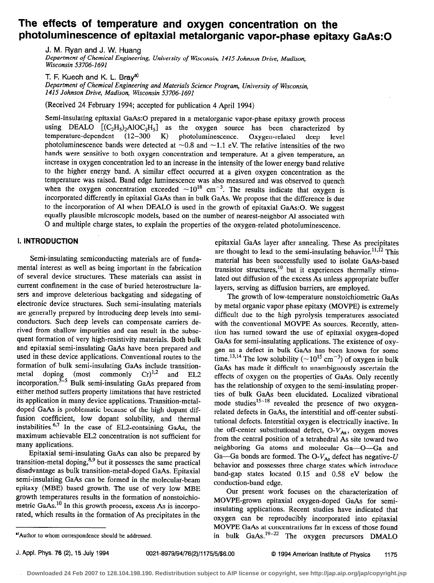# The effects of temperature and oxygen concentration on the photoluminescence of epitaxial metalorganic vapor-phase epitaxy GaAs:O

J. M. Ryan and J. W. Huang Department of Chemical Engineering, University of Wisconsin, 1415 Johnson Drive, Madison, Wisconsin 53706-1691

T. F. Kuech and K. L. Bray<sup>a)</sup>

Department of Chemical Engineering and Materials Science Program, University of Wisconsin, 1415 Johnson Drive, Madison, Wisconsin 53706-1691

(Received 24 February 1994; accepted for publication 4 April 1994)

Semi-insulating epitaxial GaAs:O prepared in a metalorganic vapor-phase epitaxy growth process using DEALO  $[(C_2H_5)_2AIOC_2H_5]$  as the oxygen source has been characterized by temperature-dependent (12–300 K) photoluminescence. Oxygen-related deep level photoluminescence. Oxygen-related photoluminescence bands were detected at  $\sim 0.8$  and  $\sim 1.1$  eV. The relative intensities of the two bands were sensitive to both oxygen concentration and temperature. At a given temperature, an increase in oxygen concentration led to an increase in the intensity of the lower energy band relative to the higher energy band. A similar effect occurred at a given oxygen concentration as the temperature was raised. Band edge luminescence was also measured and was observed to quench when the oxygen concentration exceeded  $\sim 10^{18}$  cm<sup>-3</sup>. The results indicate that oxygen is incorporated differently in epitaxial GaAs than in bulk GaAs. We propose that the difference is due to the incorporation of AI when DEAL0 is used in the growth of epitaxial GaAs:O. We suggest equally plausible microscopic models, based on the number of nearest-neighbor Al associated with 0 and multiple charge states, to explain the properties of the oxygen-related photoluminescence.

## I. INTRODUCTION

Semi-insulating semiconducting materials are of fundamental interest as well as being important in the fabrication of several device structures. These materials can assist in current confinement in the case of buried heterostructure lasers and improve deleterious backgating and sidegating of electronic device structures. Such semi-insulating materials are generally prepared by introducing deep levels into semiconductors. Such deep levels can compensate carriers derived from shallow impurities and can result in the subsequent formation of very high-resistivity materials. Both bulk and epitaxial semi-insulating GaAs have been prepared and used in these device applications. Conventional routes to the formation of bulk semi-insulating GaAs include transition-<br>metal doping (most commonly  $Cr)^{1,2}$  and EL2  $\frac{m}{2}$  and  $\frac{m}{2}$ ,  $\frac{m}{2}$  and EL2 incorporation. Bulk semi-insulating GaAs prepared from either method suffers property limitations that have restricted its application in many device applications. Transition-metaldoped GaAs is problematic because of the high dopant diffusion coefficient, low dopant solubility, and thermal instabilities. $6.7$  In the case of EL2-containing GaAs, the maximum achievable EL2 concentration is not sufficient for many applications.

Epitaxial semi-insulating GaAs can also be prepared by transition-metal doping, $8,9$  but it possesses the same practical disadvantage as bulk transition-metal-doped GaAs. Epitaxial semi-insulating GaAs can be formed in the molecular-beam epitaxy (MBE) based growth. The use of very low MBE growth temperatures results in the formation of nonstoichiometric GaAs.<sup>10</sup> In this growth process, excess As is incorporated, which results in the formation of As precipitates in the

epitaxial GaAs layer after annealing. These As precipitates are thought to lead to the semi-insulating behavior.<sup>11,12</sup> This material has been successfully used to isolate GaAs-based transistor structures,<sup>10</sup> but it experiences thermally stimulated out diffusion of the excess As unless appropriate buffer layers, serving as diffusion barriers, are employed.

The growth of low-temperature nonstoichiometric GaAs by metal organic vapor phase epitaxy (MOVPE) is extremely difficult due to the high pyrolysis temperatures associated with the conventional MOVPE As sources. Recently, attention has turned toward the use of epitaxial oxygen-doped GaAs for semi-insulating applications. The existence of oxygen as a defect in bulk GaAs has been known for some time.<sup>13,14</sup> The low solubility ( $\sim$ 10<sup>15</sup> cm<sup>-3</sup>) of oxygen in bulk GaAs has made it difficult to unambiguously ascertain the effects of oxygen on the properties of GaAs. Only recently has the relationship of oxygen to the semi-insulating properties of bulk GaAs been elucidated. Localized vibrational mode studies $15-18$  revealed the presence of two oxygenrelated defects in GaAs, the interstitial and off-center substitutional defects. Interstitial oxygen is electrically inactive. In the off-center substitutional defect,  $O-V_{As}$ , oxygen moves from the central position of a tetrahedral As site toward two neighboring Ga atoms and molecular Ga-O-Ga and Ga-Ga bonds are formed. The O- $V_{As}$  defect has negative-U behavior and possesses three charge states which introduce band-gap states located 0.15 and 0.58 eV below the conduction-band edge.

Our present work focuses on the characterization of MOVPE-grown epitaxial oxygen-doped GaAs for semiinsulating applications. Recent studies have indicated that oxygen can be reproducibly incorporated into epitaxial MOVPE GaAs at concentrations far in excess of those found in bulk GaAs.19-22 The oxygen precursors DMALO

<sup>&</sup>quot;Author to whom correspondence should be addressed.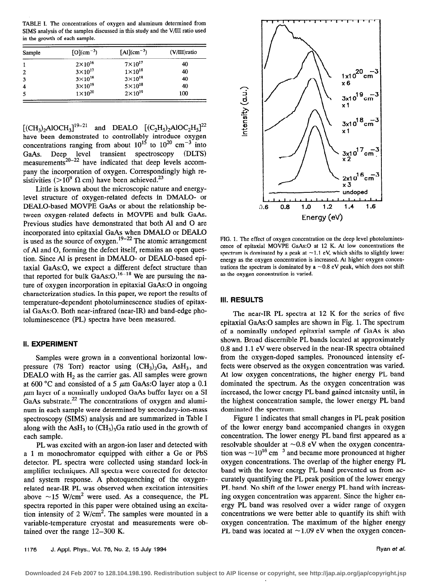TABLE I. The concentrations of oxygen and aluminum determined from SIMS analysis of the samples discussed in this study and the V/III ratio used in the growth of each sample.

| Sample | $[O](cm^{-3})$    | $[Al](cm^{-3})$    | (V/III) ratio |
|--------|-------------------|--------------------|---------------|
|        | $2\times 10^{16}$ | $7\times10^{17}$   | 40            |
| 2      | $3\times 10^{17}$ | $1\times10^{18}$   | 40            |
| 3      | $3\times10^{18}$  | $3\times10^{18}$   | 40            |
| 4      | $3\times10^{19}$  | $5 \times 10^{18}$ | 40            |
| 5      | $1\times10^{20}$  | $2 \times 10^{19}$ | 100           |

 $[(CH_3)_2AIOCH_3]^{19-21}$  and DEALO  $[(C_2H_5)_2AIOC_2H_5]^{22}$  $\frac{1}{\sqrt{2}}$  have been demonstrated to controllably introduce oxygen concentrations ranging from about  $10^{15}$  to  $10^{20}$  cm<sup>-3</sup> into GaAs. Deep level transient spectroscopy (DLTS) measurements<sup>20-22</sup> have indicated that deep levels accompany the incorporation of oxygen. Correspondingly high resistivities ( $>10^9$   $\Omega$  cm) have been achieved.<sup>23</sup>

Little is known about the microscopic nature and energylevel structure of oxygen-related defects in DMALO- or DEALO-based MOVPE GaAs or about the relationship between oxygen-related defects in MOVPE and bulk GaAs. Previous studies have demonstrated that both Al and 0 are incorporated into epitaxial GaAs when DMALO or DEAL0 is used as the source of oxygen. $19-22$  The atomic arrangement of Al and 0, forming the defect itself, remains an open question. Since Al is present in DMALO- or DEALO-based epitaxial GaAs:O, we expect a different defect structure than that reported for bulk GaAs: $O.<sup>16-18</sup>$  We are pursuing the nature of oxygen incorporation in epitaxial GaAs:O in ongoing characterization studies. In this paper, we report the results of temperature-dependent photoluminescence studies of epitaxial GaAs:O. Both near-infrared (near-IR) and band-edge photoluminescence (PL) spectra have been measured.

### II. EXPERIMENT

Samples were grown in a conventional horizontal lowpressure (78 Torr) reactor using  $(CH_3)_3Ga$ , AsH<sub>3</sub>, and DEALO with  $H<sub>2</sub>$  as the carrier gas. All samples were grown at 600 °C and consisted of a 5  $\mu$ m GaAs:O layer atop a 0.1  $\mu$ m layer of a nominally undoped GaAs buffer layer on a SI GaAs substrate. $^{22}$  The concentrations of oxygen and aluminum in each sample were determined by secondary-ion-mass spectroscopy (SIMS) analysis and are summarized in Table I along with the AsH<sub>3</sub> to  $(CH_3)$ <sub>3</sub>Ga ratio used in the growth of each sample.

PL was excited with an argon-ion laser and detected with a 1 m monochromator equipped with either a Ge or PbS detector. PL spectra were collected using standard lock-in amplifier techniques. All spectra were corrected for detector and system response. A photoquenching of the oxygenrelated near-IR PL was observed when excitation intensities above  $\sim$ 15 W/cm<sup>2</sup> were used. As a consequence, the PL spectra reported in this paper were obtained using an excitation intensity of 2  $W/cm<sup>2</sup>$ . The samples were mounted in a variable-temperature cryostat and measurements were obtained over the range 12-300 K.



FIG. 1. The effect of oxygen concentration on the deep level photoluminescence of epitaxial MOVPE GaAs:O at 12 K. At low concentrations the spectrum is dominated by a peak at  $\sim$  1.1 eV, which shifts to slightly lower energy as the oxygen concentration is increased. At higher oxygen concentrations the spectrum is dominated by a  $\sim 0.8$  eV peak, which does not shift as the oxygen concentration is varied.

### Ill. RESULTS

The near-IR PL spectra at 12 K for the series of five epitaxial GaAs:O samples are shown in Fig. 1. The spectrum of a nominally undoped epitaxial sample of GaAs is also shown. Broad discernible PL bands located at approximately 0.8 and 1.1 eV were observed in the near-IR spectra obtained from the oxygen-doped samples. Pronounced intensity effects were observed as the oxygen concentration was varied. At low oxygen concentrations, the higher energy PL band dominated the spectrum. As the oxygen concentration was increased, the lower energy PL band gained intensity until, in the highest concentration sample, the lower energy PL band dominated the spectrum.

Figure 1 indicates that small changes in PL peak position of the lower energy band accompanied changes in oxygen concentration. The lower energy PL band first appeared as a' resolvable shoulder at  $\sim 0.8$  eV when the oxygen concentration was  $\sim 10^{18}$  cm<sup>-3</sup> and became more pronounced at higher oxygen concentrations. The overlap of the higher energy PL band with the lower energy PL band prevented us from accurately quantifying the PL peak position of the lower energy PL band. No shift of the lower energy PL band with increasing oxygen concentration was apparent. Since the higher energy PL band was resolved over a wider range of oxygen concentrations we were better able to quantify its shift with oxygen concentration. The maximum of the higher energy PL band was located at  $\sim$ 1.09 eV when the oxygen concen-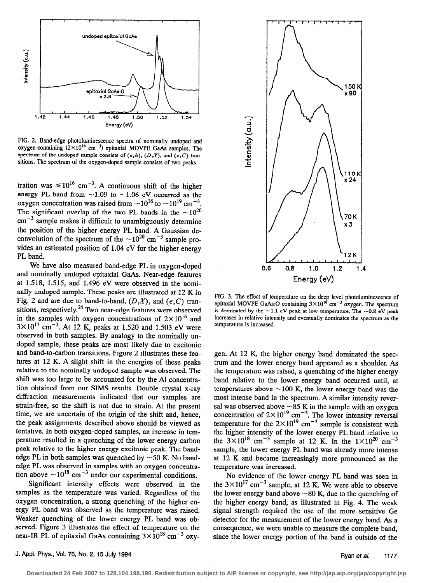

FIG. 2. Band-edge photoluminescence spectra of nominally undoped and oxygen-containing  $(2\times10^{16} \text{ cm}^{-3})$  epitaxial MOVPE GaAs samples. The spectrum of the undoped sample consists of  $(e,h)$ ,  $(D,X)$ , and  $(e,C)$  transitions. The spectrum of the oxygen-doped sample consists of two peaks.

tration was  $\leq 10^{16}$  cm<sup>-3</sup>. A continuous shift of the higher energy PL band from  $\sim$ 1.09 to  $\sim$ 1.06 eV occurred as the oxygen concentration was raised from  $\sim 10^{16}$  to  $\sim 10^{19}$  cm<sup>-3</sup>. The significant overlap of the two PL bands in the  $\sim 10^{20}$  $cm^{-3}$  sample makes it difficult to unambiguously determine the position of the higher energy PL band. A Gaussian deconvolution of the spectrum of the  $\sim 10^{20}$  cm<sup>-3</sup> sample provides an estimated position of 1.04 eV for the higher energy PL band.

We have also measured band-edge PL in oxygen-doped and nominally undoped epitaxial GaAs. Near-edge features at 1.518, 1.515, and 1.496 eV were observed in the nominally undoped sample. These peaks are illustrated at 12 K in Fig. 2 and are due to band-to-band,  $(D,X)$ , and  $(e, C)$  transitions, respectively.<sup>24</sup> Two near-edge features were observed in the samples with oxygen concentrations of  $2\times10^{16}$  and  $3 \times 10^{17}$  cm<sup>-3</sup>. At 12 K, peaks at 1.520 and 1.503 eV were observed in both samples. By analogy to the nominally undoped sample, these peaks are most likely due to excitonic and band-to-carbon transitions. Figure 2 illustrates these features at 12 K. A slight shift in the energies of these peaks relative to the nominally undoped sample was observed. The shift was too large to be accounted for by the Al concentration obtained from our SIMS results. Double crystal x-ray diffraction measurements indicated that our samples are strain-free, so the shift is not due to strain. At the present time, we are uncertain of the origin of the shift and, hence, the peak assignments described above should be viewed as tentative. In both oxygen-doped samples, an increase in temperature resulted in a quenching of the lower energy carbon peak relative to the higher energy excitonic peak. The bandedge PL in both samples was quenched by  $\sim$  50 K. No bandedge PL was observed in samples with an oxygen concentration above  $\sim 10^{18}$  cm<sup>-3</sup> under our experimental conditions.

Significant intensity effects were observed in the samples as the temperature was varied. Regardless of the oxygen concentration, a strong quenching of the higher energy PL band was observed as the temperature was raised. Weaker quenching of the lower energy PL band was observed. Figure 3 illustrates the effect of temperature on the near-IR PL of epitaxial GaAs containing  $3\times10^{18}$  cm<sup>-3</sup> oxy-



FIG. 3. The effect of temperature on the deep level photoluminescence of epitaxial MOVPE GaAs:O containing  $3 \times 10^{18}$  cm<sup>-3</sup> oxygen. The spectrum is dominated by the  $\sim$ 1.1 eV peak at low temperature. The  $\sim$ 0.8 eV peak increases in relative intensity and eventually dominates the spectrum as the temperature is increased.

gen. At 12 K, the higher energy band dominated the spectrum and the lower energy band appeared as a shoulder. As the temperature was raised, a quenching of the higher energy band relative to the lower energy band occurred until, at temperatures above  $\sim$ 100 K, the lower energy band was the most intense band in the spectrum. A similar intensity reversal was observed above  $\sim$ 85 K in the sample with an oxygen concentration of  $2\times10^{15}$  cm<sup>-3</sup>. The lower intensity reversal temperature for the  $2\times10^{19}$  cm<sup>-3</sup> sample is consistent with the higher intensity of the lower energy PL band relative to the  $3\times10^{18}$  cm<sup>-3</sup> sample at 12 K. In the  $1\times10^{20}$  cm<sup>-3</sup> sample, the lower energy PL band was already more intense at 12 K and became increasingly more pronounced as the temperature was increased.

No evidence of the lower energy PL band was seen in the  $3\times10^{17}$  cm<sup>-3</sup> sample, at 12 K. We were able to observe the lower energy band above  $\sim 80$  K, due to the quenching of the higher energy band, as illustrated in Fig. 4. The weak signal strength required the use of the more sensitive Ge detector for the measurement of the lower energy band. As a consequence, we were unable to measure the complete band, since the lower energy portion of the band is outside of the

J. Appl. Phys., Vol. 76, No. 2, 15 July 1994 Ryan et al. 1177

**Downloaded 24 Feb 2007 to 128.104.198.190. Redistribution subject to AIP license or copyright, see http://jap.aip.org/jap/copyright.jsp**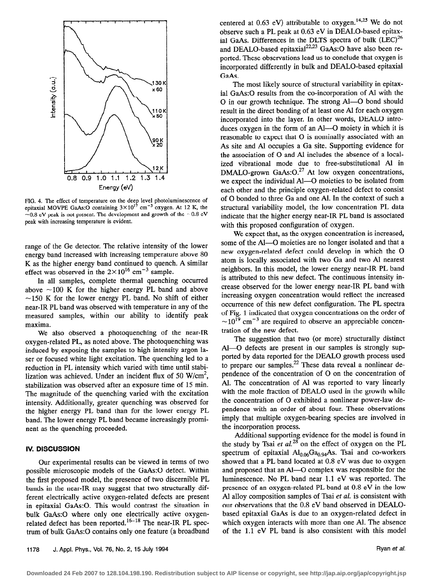

FIG. 4. The effect of temperature on the deep level photoluminescence of epitaxial MOVPE GaAs:O containing  $3 \times 10^{17}$  cm<sup>-3</sup> oxygen. At 12 K, the  $-0.8$  eV peak is not present. The development and growth of the  $-0.8$  eV peak with increasing temperature is evident.

range of the Ge detector. The relative intensity of the lower energy band increased with increasing temperature above 80 K as the higher energy band continued to quench. A similar effect was observed in the  $2\times10^{16}$  cm<sup>-3</sup> sample.

In all samples, complete thermal quenching occurred above  $\sim$ 100 K for the higher energy PL band and above  $\sim$ 150 K for the lower energy PL band. No shift of either near-IR PL band was observed with temperature in any of the measured samples, within our ability to identify peak maxima.

We also observed a photoquenching of the near-IR oxygen-related PL, as noted above. The photoquenching was induced by exposing the samples to high intensity argon laser or focused white light excitation. The quenching led to a reduction in PL intensity which varied with time until stabilization was achieved. Under an incident flux of 50  $W/cm<sup>2</sup>$ , stabilization was observed after an exposure time of 15 min. The magnitude of the quenching varied with the excitation intensity. Additionally, greater quenching was observed for the higher energy PL band than for the lower energy PL band. The lower energy PL band became increasingly prominent as the quenching proceeded.

#### IV. DISCUSSION

Our experimental results can be viewed in terms of two possible microscopic models of the GaAs:O defect. Within the first proposed model, the presence of two discernible PL bands in the near-IR may suggest that two structurally different electrically active oxygen-related defects are present in epitaxial GaAs:O. This would contrast the situation in bulk GaAs:O where only one electrically active oxygenrelated defect has been reported.<sup>16-18</sup> The near-IR PL spectrum of bulk GaAs:O contains only one feature (a broadband centered at 0.63 eV) attributable to oxygen.<sup>14,25</sup> We do not observe such a PL peak at 0.63 eV in DEALO-based epitaxial GaAs. Differences in the DLTS spectra of bulk  $(LEC)^{26}$ and DEALO-based epitaxial<sup>22,23</sup> GaAs:O have also been reported. These observations lead us to conclude that oxygen is incorporated differently in bulk and DEALO-based epitaxial GaAs.

The most likely source of structural variability in epitaxial GaAs:O results from the co-incorporation of Al with the 0 in our growth technique. The strong Al-O bond should result in the direct bonding of at least one Al for each oxygen incorporated into the layer. In other words, DEAL0 introduces oxygen in the form of an Al-O moiety in which it is reasonable to expect that 0 is nominally associated with an As site and Al occupies a Ga site. Supporting evidence for the association of 0 and Al includes the absence of a localized vibrational mode due to free-substitutional Al in DMALO-grown GaAs: O.<sup>27</sup> At low oxygen concentrations, we expect the individual Al-O moieties to be isolated from each other and the principle oxygen-related defect to consist of 0 bonded to three Ga and one Al. In the context of such a structural variability model, the low concentration PL data indicate that the higher energy near-IR PL band is associated with this proposed configuration of oxygen.

We expect that, as the oxygen concentration is increased, some of the Al-O moieties are no longer isolated and that a new oxygen-related defect could develop in which the 0 atom is locally associated with two Ga and two Al nearest neighbors. In this model, the lower energy near-IR PL band is attributed to this new defect. The continuous intensity increase observed for the lower energy near-IR PL band with increasing oxygen concentration would reflect the increased occurrence of this new defect configuration. The PL spectra of Fig. 1 indicated that oxygen concentrations on the order of  $\sim$ 10<sup>19</sup> cm<sup>-3</sup> are required to observe an appreciable concentration of the new defect.

The suggestion that two (or more) structurally distinct Al-O defects are present in our samples is strongly supported by data reported for the DEAL0 growth process used to prepare our samples.<sup>22</sup> These data reveal a nonlinear dependence of the concentration of 0 on the concentration of Al. The concentration of Al was reported to vary linearly with the mole fraction of DEAL0 used in the growth while the concentration of 0 exhibited a nonlinear power-law dependence with an order of about four. These observations imply that multiple oxygen-bearing species are involved in the incorporation process.

Additional supporting evidence for the model is found in the study by Tsai et  $al^{28}$  on the effect of oxygen on the PL spectrum of epitaxial  $Al_{0.06}Ga_{0.94}As$ . Tsai and co-workers showed that a PL band located at 0.8 eV was due to oxygen and proposed that an Al-O complex was responsible for the luminescence. No PL band near 1.1 eV was reported. The presence of an oxygen-related PL band at 0.8 eV in the low Al alloy composition samples of Tsai et al. is consistent with our observations that the 0.8 eV band observed in DEALObased epitaxial GaAs is due to an oxygen-related defect in which oxygen interacts with more than one Al. The absence of the 1.1 eV PL band is also consistent with this model